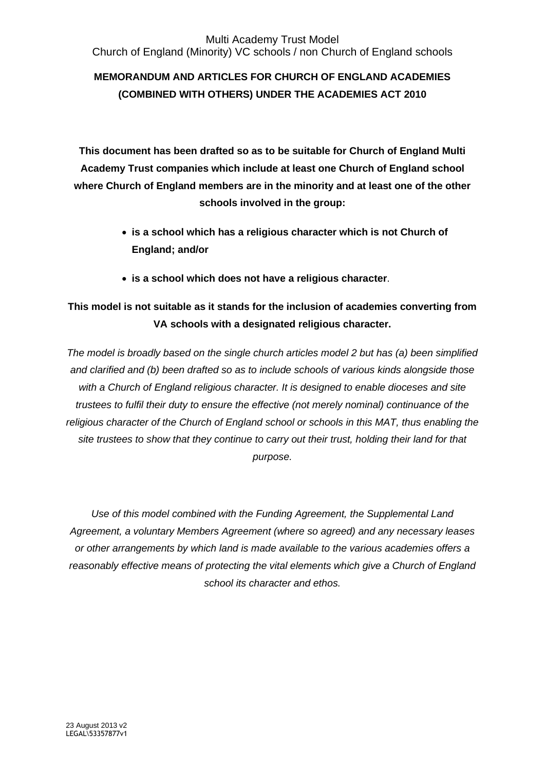## Multi Academy Trust Model Church of England (Minority) VC schools / non Church of England schools

# **MEMORANDUM AND ARTICLES FOR CHURCH OF ENGLAND ACADEMIES (COMBINED WITH OTHERS) UNDER THE ACADEMIES ACT 2010**

**This document has been drafted so as to be suitable for Church of England Multi Academy Trust companies which include at least one Church of England school where Church of England members are in the minority and at least one of the other schools involved in the group:**

- **is a school which has a religious character which is not Church of England; and/or**
- **is a school which does not have a religious character**.

# **This model is not suitable as it stands for the inclusion of academies converting from VA schools with a designated religious character.**

*The model is broadly based on the single church articles model 2 but has (a) been simplified and clarified and (b) been drafted so as to include schools of various kinds alongside those with a Church of England religious character. It is designed to enable dioceses and site trustees to fulfil their duty to ensure the effective (not merely nominal) continuance of the religious character of the Church of England school or schools in this MAT, thus enabling the site trustees to show that they continue to carry out their trust, holding their land for that purpose.* 

*Use of this model combined with the Funding Agreement, the Supplemental Land Agreement, a voluntary Members Agreement (where so agreed) and any necessary leases or other arrangements by which land is made available to the various academies offers a reasonably effective means of protecting the vital elements which give a Church of England school its character and ethos.*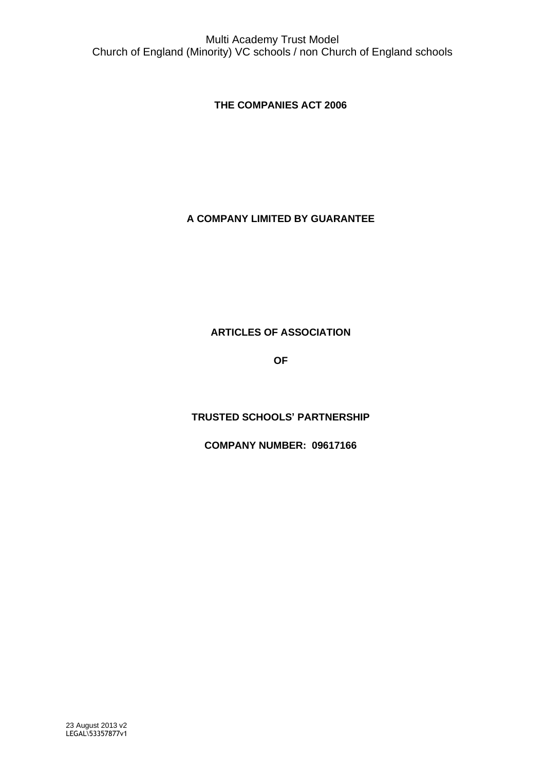**THE COMPANIES ACT 2006**

## **A COMPANY LIMITED BY GUARANTEE**

## **ARTICLES OF ASSOCIATION**

**OF**

## **TRUSTED SCHOOLS' PARTNERSHIP**

**COMPANY NUMBER: 09617166**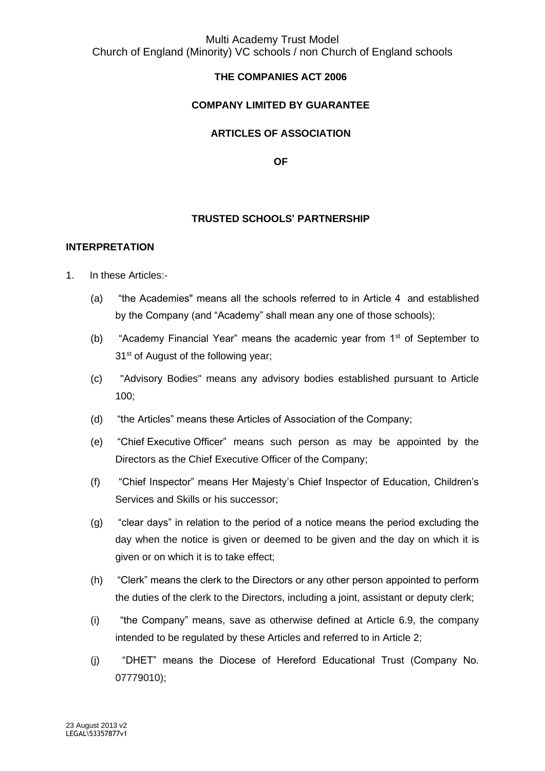## Multi Academy Trust Model Church of England (Minority) VC schools / non Church of England schools

## **THE COMPANIES ACT 2006**

#### **COMPANY LIMITED BY GUARANTEE**

#### **ARTICLES OF ASSOCIATION**

**OF**

#### **TRUSTED SCHOOLS' PARTNERSHIP**

#### **INTERPRETATION**

- 1. In these Articles:-
	- (a) "the Academies" means all the schools referred to in Article 4 and established by the Company (and "Academy" shall mean any one of those schools);
	- (b) "Academy Financial Year" means the academic year from 1st of September to 31<sup>st</sup> of August of the following year;
	- (c) "Advisory Bodies" means any advisory bodies established pursuant to Article 100;
	- (d) "the Articles" means these Articles of Association of the Company;
	- (e) "Chief Executive Officer" means such person as may be appointed by the Directors as the Chief Executive Officer of the Company;
	- (f) "Chief Inspector" means Her Majesty's Chief Inspector of Education, Children's Services and Skills or his successor;
	- (g) "clear days" in relation to the period of a notice means the period excluding the day when the notice is given or deemed to be given and the day on which it is given or on which it is to take effect;
	- (h) "Clerk" means the clerk to the Directors or any other person appointed to perform the duties of the clerk to the Directors, including a joint, assistant or deputy clerk;
	- (i) "the Company" means, save as otherwise defined at Article 6.9, the company intended to be regulated by these Articles and referred to in Article 2;
	- (j) "DHET" means the Diocese of Hereford Educational Trust (Company No. 07779010);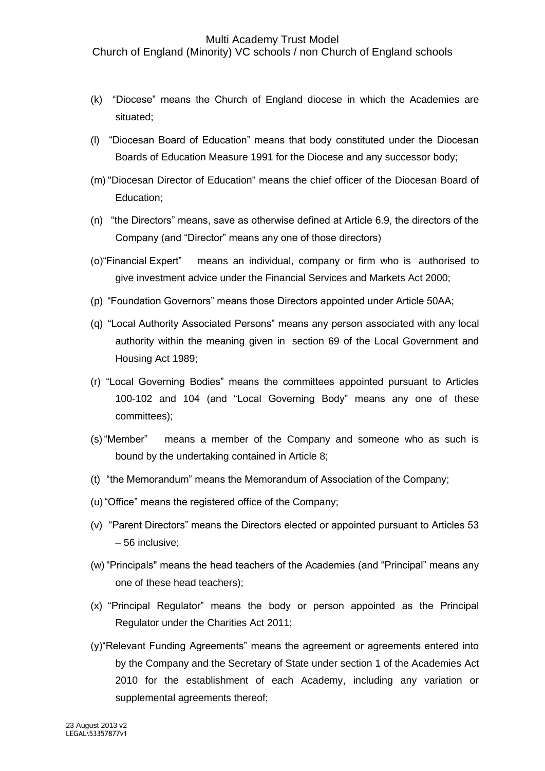Church of England (Minority) VC schools / non Church of England schools

- (k) "Diocese" means the Church of England diocese in which the Academies are situated;
- (l) "Diocesan Board of Education" means that body constituted under the Diocesan Boards of Education Measure 1991 for the Diocese and any successor body;
- (m) "Diocesan Director of Education" means the chief officer of the Diocesan Board of Education;
- (n) "the Directors" means, save as otherwise defined at Article 6.9, the directors of the Company (and "Director" means any one of those directors)
- (o)"Financial Expert" means an individual, company or firm who is authorised to give investment advice under the Financial Services and Markets Act 2000;
- (p) "Foundation Governors" means those Directors appointed under Article 50AA;
- (q) "Local Authority Associated Persons" means any person associated with any local authority within the meaning given in section 69 of the Local Government and Housing Act 1989;
- (r) "Local Governing Bodies" means the committees appointed pursuant to Articles 100-102 and 104 (and "Local Governing Body" means any one of these committees);
- (s)"Member" means a member of the Company and someone who as such is bound by the undertaking contained in Article 8;
- (t) "the Memorandum" means the Memorandum of Association of the Company;
- (u)"Office" means the registered office of the Company;
- (v) "Parent Directors" means the Directors elected or appointed pursuant to Articles 53 – 56 inclusive;
- (w) "Principals" means the head teachers of the Academies (and "Principal" means any one of these head teachers);
- (x) "Principal Regulator" means the body or person appointed as the Principal Regulator under the Charities Act 2011;
- (y)"Relevant Funding Agreements" means the agreement or agreements entered into by the Company and the Secretary of State under section 1 of the Academies Act 2010 for the establishment of each Academy, including any variation or supplemental agreements thereof;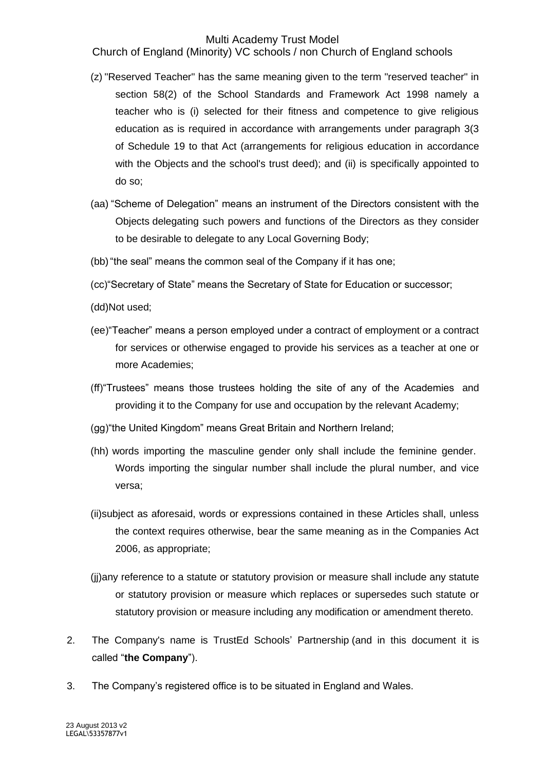Church of England (Minority) VC schools / non Church of England schools

- (z) "Reserved Teacher" has the same meaning given to the term "reserved teacher" in section 58(2) of the School Standards and Framework Act 1998 namely a teacher who is (i) selected for their fitness and competence to give religious education as is required in accordance with arrangements under paragraph 3(3 of Schedule 19 to that Act (arrangements for religious education in accordance with the Objects and the school's trust deed); and (ii) is specifically appointed to do so;
- (aa) "Scheme of Delegation" means an instrument of the Directors consistent with the Objects delegating such powers and functions of the Directors as they consider to be desirable to delegate to any Local Governing Body;
- (bb) "the seal" means the common seal of the Company if it has one;
- (cc)"Secretary of State" means the Secretary of State for Education or successor;
- (dd)Not used;
- (ee)"Teacher" means a person employed under a contract of employment or a contract for services or otherwise engaged to provide his services as a teacher at one or more Academies;
- (ff)"Trustees" means those trustees holding the site of any of the Academies and providing it to the Company for use and occupation by the relevant Academy;
- (gg)"the United Kingdom" means Great Britain and Northern Ireland;
- (hh) words importing the masculine gender only shall include the feminine gender. Words importing the singular number shall include the plural number, and vice versa;
- (ii)subject as aforesaid, words or expressions contained in these Articles shall, unless the context requires otherwise, bear the same meaning as in the Companies Act 2006, as appropriate;
- (jj)any reference to a statute or statutory provision or measure shall include any statute or statutory provision or measure which replaces or supersedes such statute or statutory provision or measure including any modification or amendment thereto.
- 2. The Company's name is TrustEd Schools' Partnership (and in this document it is called "**the Company**").
- 3. The Company's registered office is to be situated in England and Wales.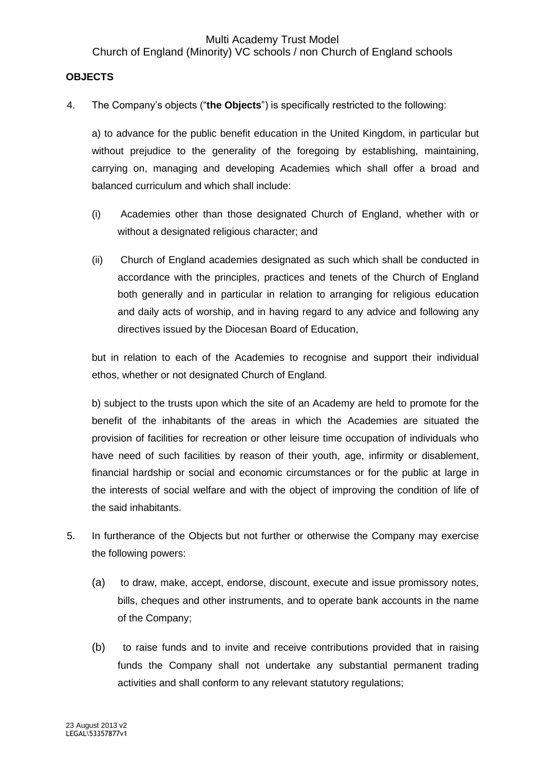#### **OBJECTS**

4. The Company's objects ("**the Objects**") is specifically restricted to the following:

a) to advance for the public benefit education in the United Kingdom, in particular but without prejudice to the generality of the foregoing by establishing, maintaining, carrying on, managing and developing Academies which shall offer a broad and balanced curriculum and which shall include:

- (i) Academies other than those designated Church of England, whether with or without a designated religious character; and
- (ii) Church of England academies designated as such which shall be conducted in accordance with the principles, practices and tenets of the Church of England both generally and in particular in relation to arranging for religious education and daily acts of worship, and in having regard to any advice and following any directives issued by the Diocesan Board of Education,

but in relation to each of the Academies to recognise and support their individual ethos, whether or not designated Church of England.

b) subject to the trusts upon which the site of an Academy are held to promote for the benefit of the inhabitants of the areas in which the Academies are situated the provision of facilities for recreation or other leisure time occupation of individuals who have need of such facilities by reason of their youth, age, infirmity or disablement, financial hardship or social and economic circumstances or for the public at large in the interests of social welfare and with the object of improving the condition of life of the said inhabitants.

- 5. In furtherance of the Objects but not further or otherwise the Company may exercise the following powers:
	- (a) to draw, make, accept, endorse, discount, execute and issue promissory notes, bills, cheques and other instruments, and to operate bank accounts in the name of the Company;
	- (b) to raise funds and to invite and receive contributions provided that in raising funds the Company shall not undertake any substantial permanent trading activities and shall conform to any relevant statutory regulations;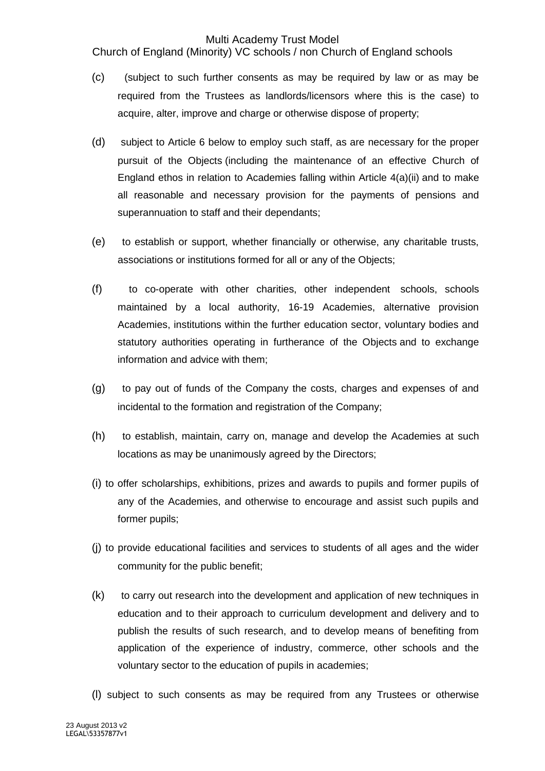Church of England (Minority) VC schools / non Church of England schools

- (c) (subject to such further consents as may be required by law or as may be required from the Trustees as landlords/licensors where this is the case) to acquire, alter, improve and charge or otherwise dispose of property;
- (d) subject to Article 6 below to employ such staff, as are necessary for the proper pursuit of the Objects (including the maintenance of an effective Church of England ethos in relation to Academies falling within Article 4(a)(ii) and to make all reasonable and necessary provision for the payments of pensions and superannuation to staff and their dependants;
- (e) to establish or support, whether financially or otherwise, any charitable trusts, associations or institutions formed for all or any of the Objects;
- (f) to co-operate with other charities, other independent schools, schools maintained by a local authority, 16-19 Academies, alternative provision Academies, institutions within the further education sector, voluntary bodies and statutory authorities operating in furtherance of the Objects and to exchange information and advice with them;
- (g) to pay out of funds of the Company the costs, charges and expenses of and incidental to the formation and registration of the Company;
- (h) to establish, maintain, carry on, manage and develop the Academies at such locations as may be unanimously agreed by the Directors;
- (i) to offer scholarships, exhibitions, prizes and awards to pupils and former pupils of any of the Academies, and otherwise to encourage and assist such pupils and former pupils;
- (j) to provide educational facilities and services to students of all ages and the wider community for the public benefit;
- (k) to carry out research into the development and application of new techniques in education and to their approach to curriculum development and delivery and to publish the results of such research, and to develop means of benefiting from application of the experience of industry, commerce, other schools and the voluntary sector to the education of pupils in academies;
- (l) subject to such consents as may be required from any Trustees or otherwise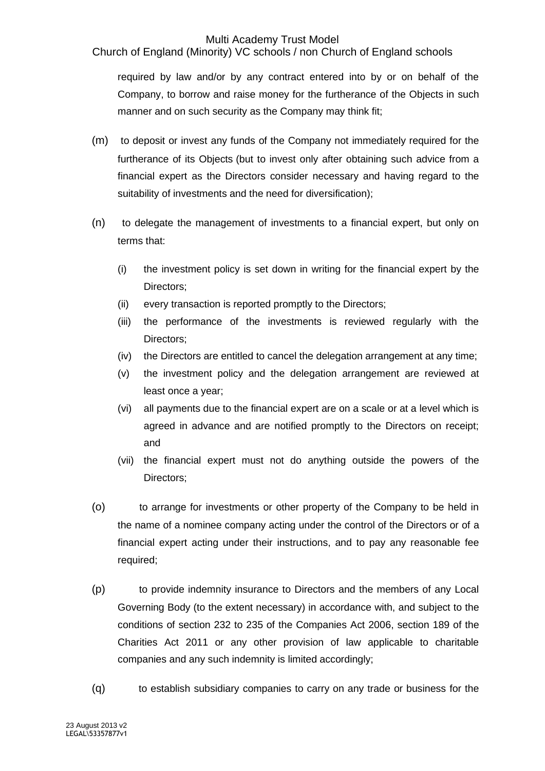Church of England (Minority) VC schools / non Church of England schools

required by law and/or by any contract entered into by or on behalf of the Company, to borrow and raise money for the furtherance of the Objects in such manner and on such security as the Company may think fit;

- (m) to deposit or invest any funds of the Company not immediately required for the furtherance of its Objects (but to invest only after obtaining such advice from a financial expert as the Directors consider necessary and having regard to the suitability of investments and the need for diversification);
- (n) to delegate the management of investments to a financial expert, but only on terms that:
	- (i) the investment policy is set down in writing for the financial expert by the Directors;
	- (ii) every transaction is reported promptly to the Directors;
	- (iii) the performance of the investments is reviewed regularly with the Directors;
	- (iv) the Directors are entitled to cancel the delegation arrangement at any time;
	- (v) the investment policy and the delegation arrangement are reviewed at least once a year;
	- (vi) all payments due to the financial expert are on a scale or at a level which is agreed in advance and are notified promptly to the Directors on receipt; and
	- (vii) the financial expert must not do anything outside the powers of the Directors;
- (o) to arrange for investments or other property of the Company to be held in the name of a nominee company acting under the control of the Directors or of a financial expert acting under their instructions, and to pay any reasonable fee required;
- (p) to provide indemnity insurance to Directors and the members of any Local Governing Body (to the extent necessary) in accordance with, and subject to the conditions of section 232 to 235 of the Companies Act 2006, section 189 of the Charities Act 2011 or any other provision of law applicable to charitable companies and any such indemnity is limited accordingly;
- (q) to establish subsidiary companies to carry on any trade or business for the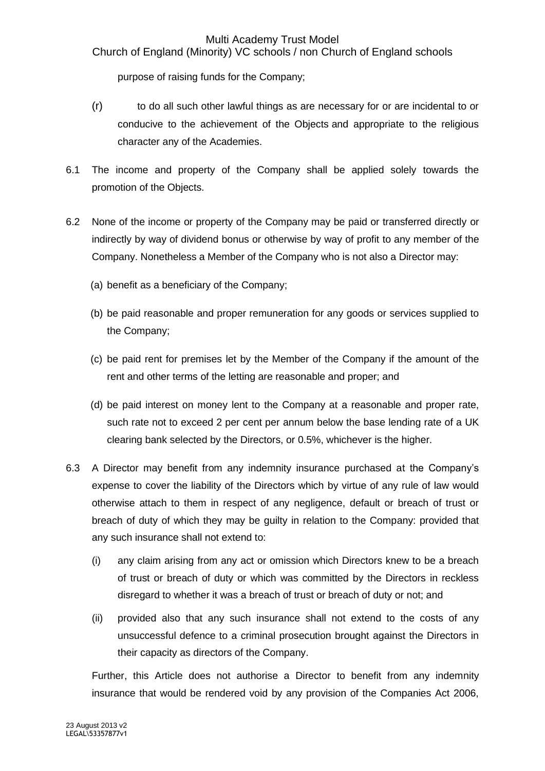Church of England (Minority) VC schools / non Church of England schools

purpose of raising funds for the Company;

- (r) to do all such other lawful things as are necessary for or are incidental to or conducive to the achievement of the Objects and appropriate to the religious character any of the Academies.
- 6.1 The income and property of the Company shall be applied solely towards the promotion of the Objects.
- 6.2 None of the income or property of the Company may be paid or transferred directly or indirectly by way of dividend bonus or otherwise by way of profit to any member of the Company. Nonetheless a Member of the Company who is not also a Director may:
	- (a) benefit as a beneficiary of the Company;
	- (b) be paid reasonable and proper remuneration for any goods or services supplied to the Company;
	- (c) be paid rent for premises let by the Member of the Company if the amount of the rent and other terms of the letting are reasonable and proper; and
	- (d) be paid interest on money lent to the Company at a reasonable and proper rate, such rate not to exceed 2 per cent per annum below the base lending rate of a UK clearing bank selected by the Directors, or 0.5%, whichever is the higher.
- 6.3 A Director may benefit from any indemnity insurance purchased at the Company's expense to cover the liability of the Directors which by virtue of any rule of law would otherwise attach to them in respect of any negligence, default or breach of trust or breach of duty of which they may be guilty in relation to the Company: provided that any such insurance shall not extend to:
	- (i) any claim arising from any act or omission which Directors knew to be a breach of trust or breach of duty or which was committed by the Directors in reckless disregard to whether it was a breach of trust or breach of duty or not; and
	- (ii) provided also that any such insurance shall not extend to the costs of any unsuccessful defence to a criminal prosecution brought against the Directors in their capacity as directors of the Company.

Further, this Article does not authorise a Director to benefit from any indemnity insurance that would be rendered void by any provision of the Companies Act 2006,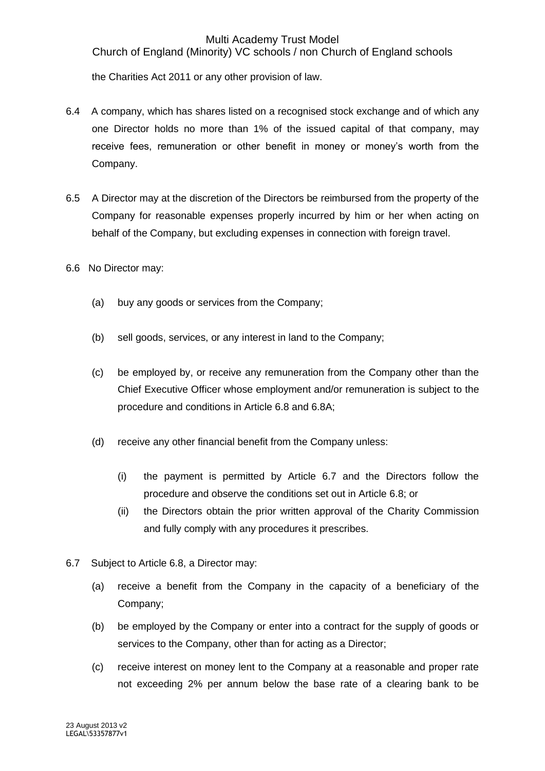Church of England (Minority) VC schools / non Church of England schools

the Charities Act 2011 or any other provision of law.

- 6.4 A company, which has shares listed on a recognised stock exchange and of which any one Director holds no more than 1% of the issued capital of that company, may receive fees, remuneration or other benefit in money or money's worth from the Company.
- 6.5 A Director may at the discretion of the Directors be reimbursed from the property of the Company for reasonable expenses properly incurred by him or her when acting on behalf of the Company, but excluding expenses in connection with foreign travel.
- 6.6 No Director may:
	- (a) buy any goods or services from the Company;
	- (b) sell goods, services, or any interest in land to the Company;
	- (c) be employed by, or receive any remuneration from the Company other than the Chief Executive Officer whose employment and/or remuneration is subject to the procedure and conditions in Article 6.8 and 6.8A;
	- (d) receive any other financial benefit from the Company unless:
		- (i) the payment is permitted by Article 6.7 and the Directors follow the procedure and observe the conditions set out in Article 6.8; or
		- (ii) the Directors obtain the prior written approval of the Charity Commission and fully comply with any procedures it prescribes.
- 6.7 Subject to Article 6.8, a Director may:
	- (a) receive a benefit from the Company in the capacity of a beneficiary of the Company;
	- (b) be employed by the Company or enter into a contract for the supply of goods or services to the Company, other than for acting as a Director;
	- (c) receive interest on money lent to the Company at a reasonable and proper rate not exceeding 2% per annum below the base rate of a clearing bank to be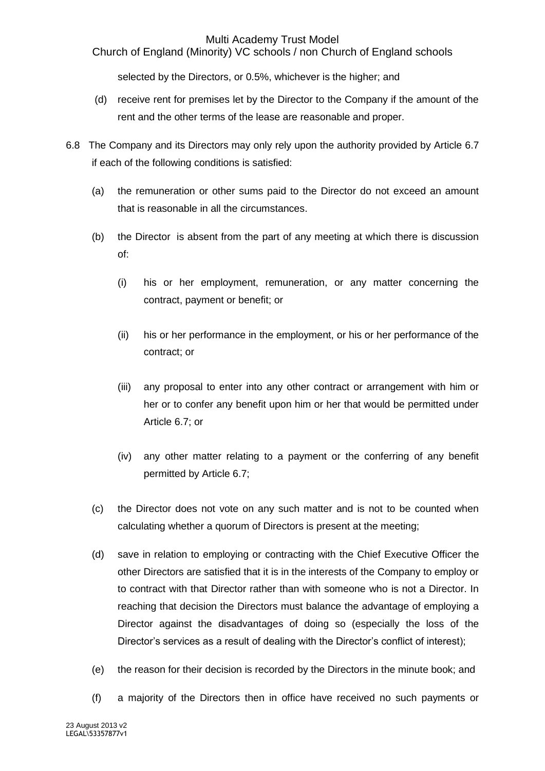Church of England (Minority) VC schools / non Church of England schools

selected by the Directors, or 0.5%, whichever is the higher; and

- (d) receive rent for premises let by the Director to the Company if the amount of the rent and the other terms of the lease are reasonable and proper.
- 6.8 The Company and its Directors may only rely upon the authority provided by Article 6.7 if each of the following conditions is satisfied:
	- (a) the remuneration or other sums paid to the Director do not exceed an amount that is reasonable in all the circumstances.
	- (b) the Director is absent from the part of any meeting at which there is discussion of:
		- (i) his or her employment, remuneration, or any matter concerning the contract, payment or benefit; or
		- (ii) his or her performance in the employment, or his or her performance of the contract; or
		- (iii) any proposal to enter into any other contract or arrangement with him or her or to confer any benefit upon him or her that would be permitted under Article 6.7; or
		- (iv) any other matter relating to a payment or the conferring of any benefit permitted by Article 6.7;
	- (c) the Director does not vote on any such matter and is not to be counted when calculating whether a quorum of Directors is present at the meeting;
	- (d) save in relation to employing or contracting with the Chief Executive Officer the other Directors are satisfied that it is in the interests of the Company to employ or to contract with that Director rather than with someone who is not a Director. In reaching that decision the Directors must balance the advantage of employing a Director against the disadvantages of doing so (especially the loss of the Director's services as a result of dealing with the Director's conflict of interest);
	- (e) the reason for their decision is recorded by the Directors in the minute book; and
	- (f) a majority of the Directors then in office have received no such payments or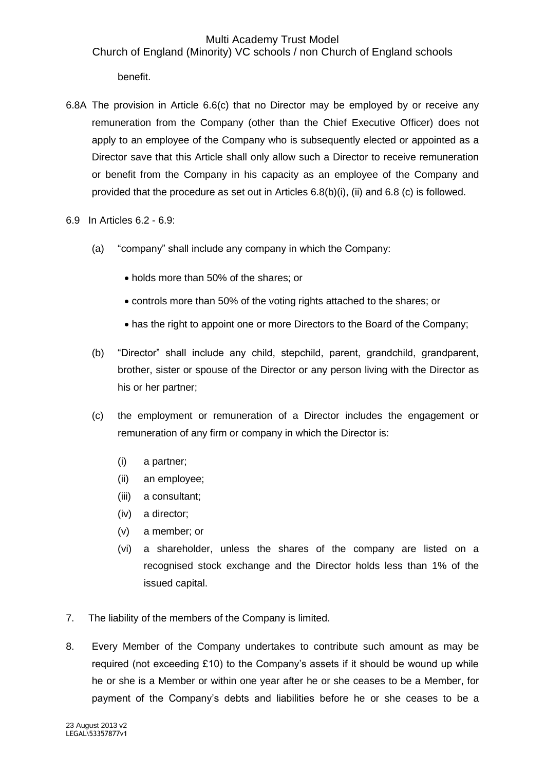## Multi Academy Trust Model Church of England (Minority) VC schools / non Church of England schools

benefit.

- 6.8A The provision in Article 6.6(c) that no Director may be employed by or receive any remuneration from the Company (other than the Chief Executive Officer) does not apply to an employee of the Company who is subsequently elected or appointed as a Director save that this Article shall only allow such a Director to receive remuneration or benefit from the Company in his capacity as an employee of the Company and provided that the procedure as set out in Articles 6.8(b)(i), (ii) and 6.8 (c) is followed.
- 6.9 In Articles 6.2 6.9:
	- (a) "company" shall include any company in which the Company:
		- holds more than 50% of the shares; or
		- controls more than 50% of the voting rights attached to the shares; or
		- has the right to appoint one or more Directors to the Board of the Company;
	- (b) "Director" shall include any child, stepchild, parent, grandchild, grandparent, brother, sister or spouse of the Director or any person living with the Director as his or her partner;
	- (c) the employment or remuneration of a Director includes the engagement or remuneration of any firm or company in which the Director is:
		- (i) a partner;
		- (ii) an employee;
		- (iii) a consultant;
		- (iv) a director;
		- (v) a member; or
		- (vi) a shareholder, unless the shares of the company are listed on a recognised stock exchange and the Director holds less than 1% of the issued capital.
- 7. The liability of the members of the Company is limited.
- 8. Every Member of the Company undertakes to contribute such amount as may be required (not exceeding £10) to the Company's assets if it should be wound up while he or she is a Member or within one year after he or she ceases to be a Member, for payment of the Company's debts and liabilities before he or she ceases to be a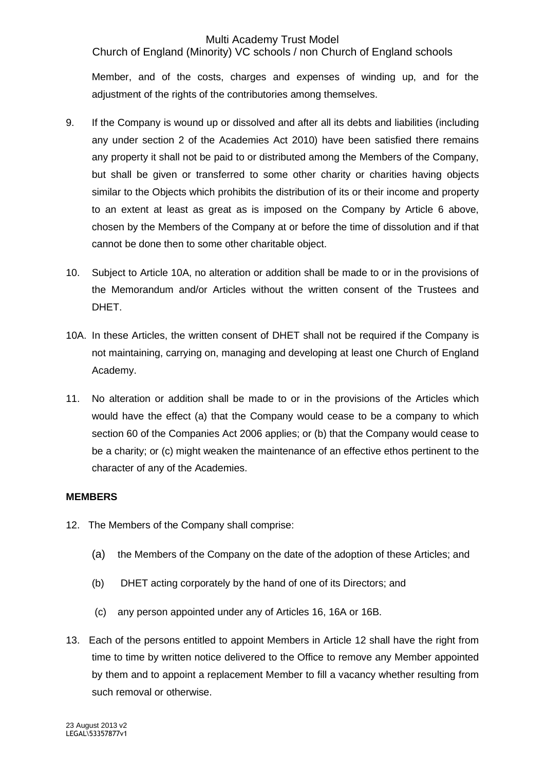Church of England (Minority) VC schools / non Church of England schools

Member, and of the costs, charges and expenses of winding up, and for the adjustment of the rights of the contributories among themselves.

- 9. If the Company is wound up or dissolved and after all its debts and liabilities (including any under section 2 of the Academies Act 2010) have been satisfied there remains any property it shall not be paid to or distributed among the Members of the Company, but shall be given or transferred to some other charity or charities having objects similar to the Objects which prohibits the distribution of its or their income and property to an extent at least as great as is imposed on the Company by Article 6 above, chosen by the Members of the Company at or before the time of dissolution and if that cannot be done then to some other charitable object.
- 10. Subject to Article 10A, no alteration or addition shall be made to or in the provisions of the Memorandum and/or Articles without the written consent of the Trustees and DHET.
- 10A. In these Articles, the written consent of DHET shall not be required if the Company is not maintaining, carrying on, managing and developing at least one Church of England Academy.
- 11. No alteration or addition shall be made to or in the provisions of the Articles which would have the effect (a) that the Company would cease to be a company to which section 60 of the Companies Act 2006 applies; or (b) that the Company would cease to be a charity; or (c) might weaken the maintenance of an effective ethos pertinent to the character of any of the Academies.

## **MEMBERS**

- 12. The Members of the Company shall comprise:
	- (a) the Members of the Company on the date of the adoption of these Articles; and
	- (b) DHET acting corporately by the hand of one of its Directors; and
	- (c) any person appointed under any of Articles 16, 16A or 16B.
- 13. Each of the persons entitled to appoint Members in Article 12 shall have the right from time to time by written notice delivered to the Office to remove any Member appointed by them and to appoint a replacement Member to fill a vacancy whether resulting from such removal or otherwise.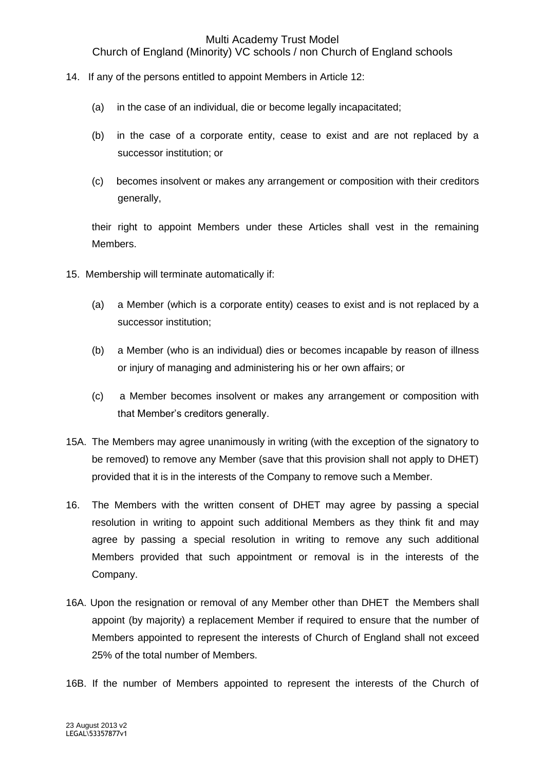Church of England (Minority) VC schools / non Church of England schools

- 14. If any of the persons entitled to appoint Members in Article 12:
	- (a) in the case of an individual, die or become legally incapacitated;
	- (b) in the case of a corporate entity, cease to exist and are not replaced by a successor institution; or
	- (c) becomes insolvent or makes any arrangement or composition with their creditors generally,

their right to appoint Members under these Articles shall vest in the remaining Members.

- 15. Membership will terminate automatically if:
	- (a) a Member (which is a corporate entity) ceases to exist and is not replaced by a successor institution;
	- (b) a Member (who is an individual) dies or becomes incapable by reason of illness or injury of managing and administering his or her own affairs; or
	- (c) a Member becomes insolvent or makes any arrangement or composition with that Member's creditors generally.
- 15A. The Members may agree unanimously in writing (with the exception of the signatory to be removed) to remove any Member (save that this provision shall not apply to DHET) provided that it is in the interests of the Company to remove such a Member.
- 16. The Members with the written consent of DHET may agree by passing a special resolution in writing to appoint such additional Members as they think fit and may agree by passing a special resolution in writing to remove any such additional Members provided that such appointment or removal is in the interests of the Company.
- 16A. Upon the resignation or removal of any Member other than DHET the Members shall appoint (by majority) a replacement Member if required to ensure that the number of Members appointed to represent the interests of Church of England shall not exceed 25% of the total number of Members.

16B. If the number of Members appointed to represent the interests of the Church of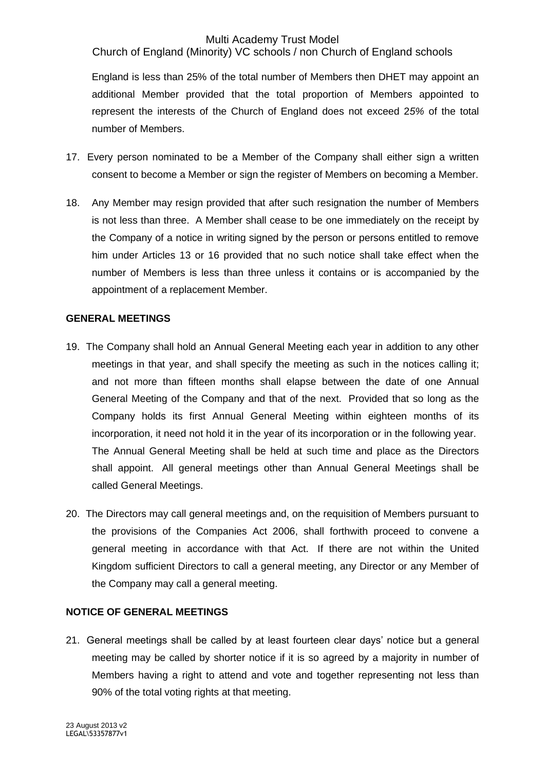Church of England (Minority) VC schools / non Church of England schools

England is less than 25% of the total number of Members then DHET may appoint an additional Member provided that the total proportion of Members appointed to represent the interests of the Church of England does not exceed 2*5%* of the total number of Members.

- 17. Every person nominated to be a Member of the Company shall either sign a written consent to become a Member or sign the register of Members on becoming a Member.
- 18. Any Member may resign provided that after such resignation the number of Members is not less than three. A Member shall cease to be one immediately on the receipt by the Company of a notice in writing signed by the person or persons entitled to remove him under Articles 13 or 16 provided that no such notice shall take effect when the number of Members is less than three unless it contains or is accompanied by the appointment of a replacement Member.

#### **GENERAL MEETINGS**

- 19. The Company shall hold an Annual General Meeting each year in addition to any other meetings in that year, and shall specify the meeting as such in the notices calling it; and not more than fifteen months shall elapse between the date of one Annual General Meeting of the Company and that of the next. Provided that so long as the Company holds its first Annual General Meeting within eighteen months of its incorporation, it need not hold it in the year of its incorporation or in the following year. The Annual General Meeting shall be held at such time and place as the Directors shall appoint. All general meetings other than Annual General Meetings shall be called General Meetings.
- 20. The Directors may call general meetings and, on the requisition of Members pursuant to the provisions of the Companies Act 2006, shall forthwith proceed to convene a general meeting in accordance with that Act. If there are not within the United Kingdom sufficient Directors to call a general meeting, any Director or any Member of the Company may call a general meeting.

## **NOTICE OF GENERAL MEETINGS**

21. General meetings shall be called by at least fourteen clear days' notice but a general meeting may be called by shorter notice if it is so agreed by a majority in number of Members having a right to attend and vote and together representing not less than 90% of the total voting rights at that meeting.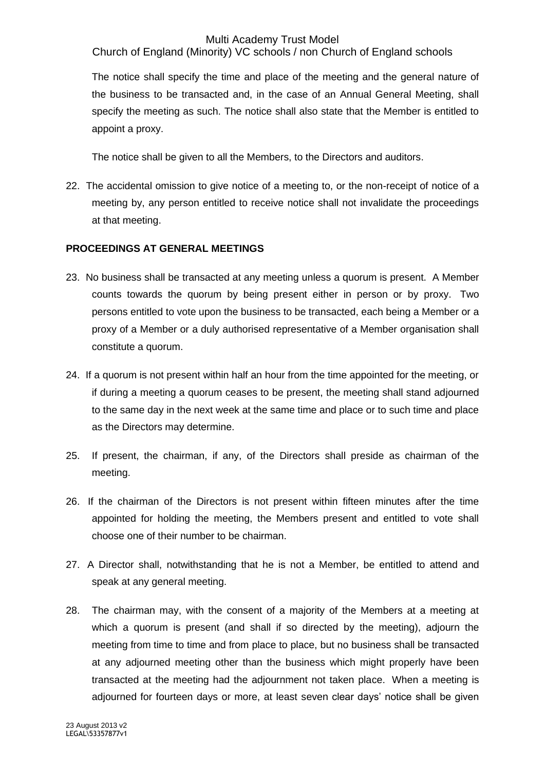Church of England (Minority) VC schools / non Church of England schools

The notice shall specify the time and place of the meeting and the general nature of the business to be transacted and, in the case of an Annual General Meeting, shall specify the meeting as such. The notice shall also state that the Member is entitled to appoint a proxy.

The notice shall be given to all the Members, to the Directors and auditors.

22. The accidental omission to give notice of a meeting to, or the non-receipt of notice of a meeting by, any person entitled to receive notice shall not invalidate the proceedings at that meeting.

## **PROCEEDINGS AT GENERAL MEETINGS**

- 23. No business shall be transacted at any meeting unless a quorum is present. A Member counts towards the quorum by being present either in person or by proxy. Two persons entitled to vote upon the business to be transacted, each being a Member or a proxy of a Member or a duly authorised representative of a Member organisation shall constitute a quorum.
- 24. If a quorum is not present within half an hour from the time appointed for the meeting, or if during a meeting a quorum ceases to be present, the meeting shall stand adjourned to the same day in the next week at the same time and place or to such time and place as the Directors may determine.
- 25. If present, the chairman, if any, of the Directors shall preside as chairman of the meeting.
- 26. If the chairman of the Directors is not present within fifteen minutes after the time appointed for holding the meeting, the Members present and entitled to vote shall choose one of their number to be chairman.
- 27. A Director shall, notwithstanding that he is not a Member, be entitled to attend and speak at any general meeting.
- 28. The chairman may, with the consent of a majority of the Members at a meeting at which a quorum is present (and shall if so directed by the meeting), adjourn the meeting from time to time and from place to place, but no business shall be transacted at any adjourned meeting other than the business which might properly have been transacted at the meeting had the adjournment not taken place. When a meeting is adjourned for fourteen days or more, at least seven clear days' notice shall be given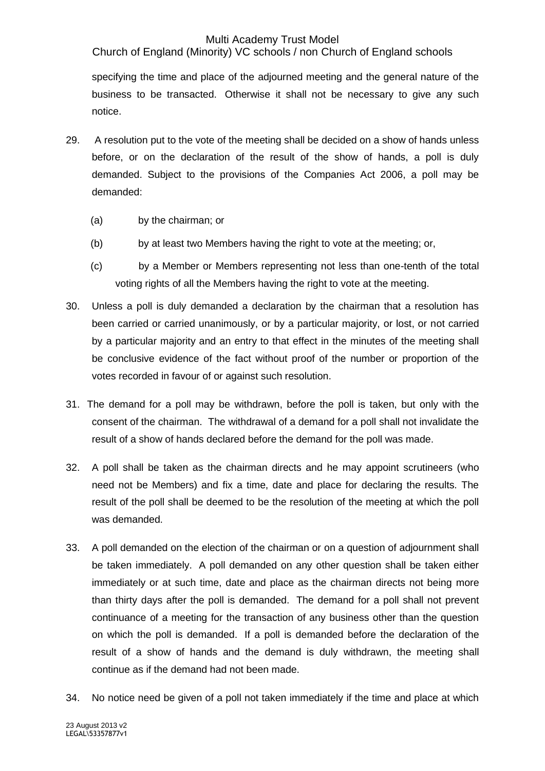Church of England (Minority) VC schools / non Church of England schools

specifying the time and place of the adjourned meeting and the general nature of the business to be transacted. Otherwise it shall not be necessary to give any such notice.

- 29. A resolution put to the vote of the meeting shall be decided on a show of hands unless before, or on the declaration of the result of the show of hands, a poll is duly demanded. Subject to the provisions of the Companies Act 2006, a poll may be demanded:
	- (a) by the chairman; or
	- (b) by at least two Members having the right to vote at the meeting; or,
	- (c) by a Member or Members representing not less than one-tenth of the total voting rights of all the Members having the right to vote at the meeting.
- 30. Unless a poll is duly demanded a declaration by the chairman that a resolution has been carried or carried unanimously, or by a particular majority, or lost, or not carried by a particular majority and an entry to that effect in the minutes of the meeting shall be conclusive evidence of the fact without proof of the number or proportion of the votes recorded in favour of or against such resolution.
- 31. The demand for a poll may be withdrawn, before the poll is taken, but only with the consent of the chairman. The withdrawal of a demand for a poll shall not invalidate the result of a show of hands declared before the demand for the poll was made.
- 32. A poll shall be taken as the chairman directs and he may appoint scrutineers (who need not be Members) and fix a time, date and place for declaring the results. The result of the poll shall be deemed to be the resolution of the meeting at which the poll was demanded.
- 33. A poll demanded on the election of the chairman or on a question of adjournment shall be taken immediately. A poll demanded on any other question shall be taken either immediately or at such time, date and place as the chairman directs not being more than thirty days after the poll is demanded. The demand for a poll shall not prevent continuance of a meeting for the transaction of any business other than the question on which the poll is demanded. If a poll is demanded before the declaration of the result of a show of hands and the demand is duly withdrawn, the meeting shall continue as if the demand had not been made.
- 34. No notice need be given of a poll not taken immediately if the time and place at which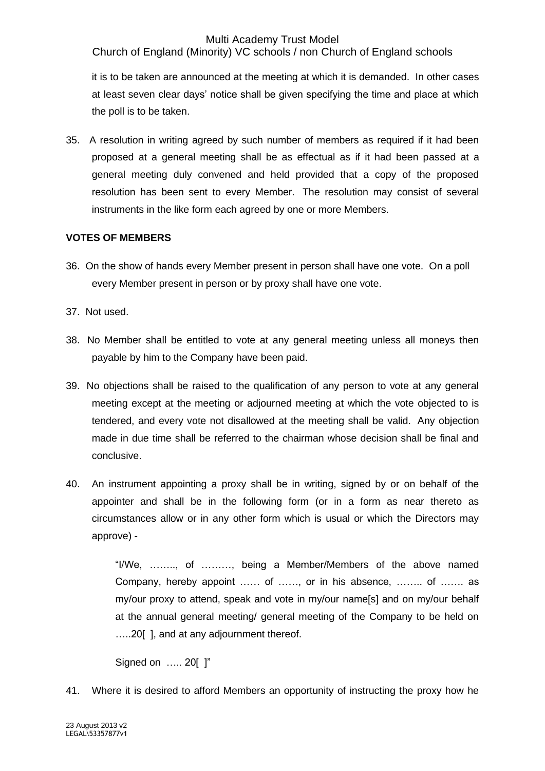Church of England (Minority) VC schools / non Church of England schools

it is to be taken are announced at the meeting at which it is demanded. In other cases at least seven clear days' notice shall be given specifying the time and place at which the poll is to be taken.

35. A resolution in writing agreed by such number of members as required if it had been proposed at a general meeting shall be as effectual as if it had been passed at a general meeting duly convened and held provided that a copy of the proposed resolution has been sent to every Member. The resolution may consist of several instruments in the like form each agreed by one or more Members.

## **VOTES OF MEMBERS**

- 36. On the show of hands every Member present in person shall have one vote. On a poll every Member present in person or by proxy shall have one vote.
- 37. Not used.
- 38. No Member shall be entitled to vote at any general meeting unless all moneys then payable by him to the Company have been paid.
- 39. No objections shall be raised to the qualification of any person to vote at any general meeting except at the meeting or adjourned meeting at which the vote objected to is tendered, and every vote not disallowed at the meeting shall be valid. Any objection made in due time shall be referred to the chairman whose decision shall be final and conclusive.
- 40. An instrument appointing a proxy shall be in writing, signed by or on behalf of the appointer and shall be in the following form (or in a form as near thereto as circumstances allow or in any other form which is usual or which the Directors may approve) -

"I/We, …….., of ………, being a Member/Members of the above named Company, hereby appoint …… of ……, or in his absence, …….. of ……. as my/our proxy to attend, speak and vote in my/our name[s] and on my/our behalf at the annual general meeting/ general meeting of the Company to be held on …..20[ ], and at any adjournment thereof.

Signed on ….. 20[ ]"

41. Where it is desired to afford Members an opportunity of instructing the proxy how he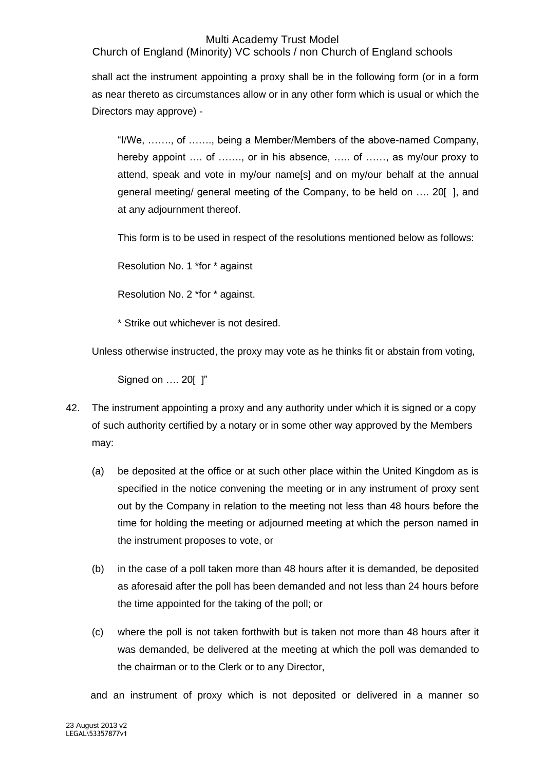Church of England (Minority) VC schools / non Church of England schools

shall act the instrument appointing a proxy shall be in the following form (or in a form as near thereto as circumstances allow or in any other form which is usual or which the Directors may approve) -

"I/We, ……., of ……., being a Member/Members of the above-named Company, hereby appoint .... of ......., or in his absence, ..... of ......, as my/our proxy to attend, speak and vote in my/our name[s] and on my/our behalf at the annual general meeting/ general meeting of the Company, to be held on …. 20[ ], and at any adjournment thereof.

This form is to be used in respect of the resolutions mentioned below as follows:

Resolution No. 1 \*for \* against

Resolution No. 2 \*for \* against.

\* Strike out whichever is not desired.

Unless otherwise instructed, the proxy may vote as he thinks fit or abstain from voting,

Signed on …. 20[ ]"

- 42. The instrument appointing a proxy and any authority under which it is signed or a copy of such authority certified by a notary or in some other way approved by the Members may:
	- (a) be deposited at the office or at such other place within the United Kingdom as is specified in the notice convening the meeting or in any instrument of proxy sent out by the Company in relation to the meeting not less than 48 hours before the time for holding the meeting or adjourned meeting at which the person named in the instrument proposes to vote, or
	- (b) in the case of a poll taken more than 48 hours after it is demanded, be deposited as aforesaid after the poll has been demanded and not less than 24 hours before the time appointed for the taking of the poll; or
	- (c) where the poll is not taken forthwith but is taken not more than 48 hours after it was demanded, be delivered at the meeting at which the poll was demanded to the chairman or to the Clerk or to any Director,

and an instrument of proxy which is not deposited or delivered in a manner so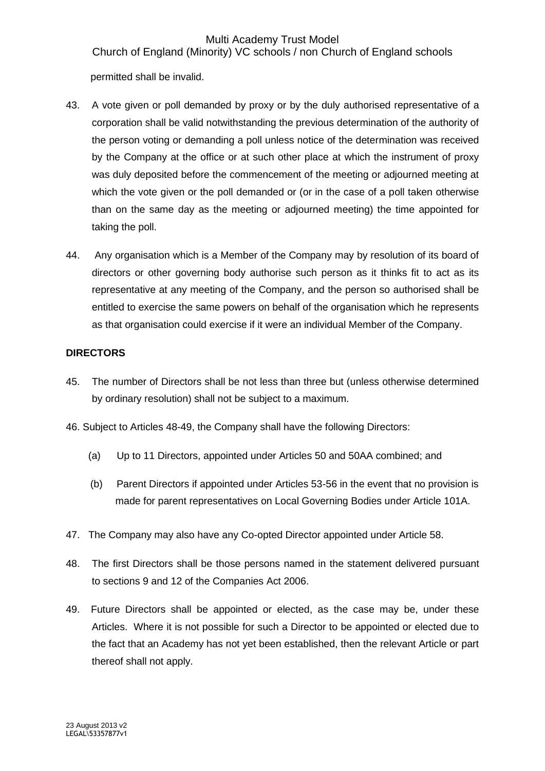Church of England (Minority) VC schools / non Church of England schools

permitted shall be invalid.

- 43. A vote given or poll demanded by proxy or by the duly authorised representative of a corporation shall be valid notwithstanding the previous determination of the authority of the person voting or demanding a poll unless notice of the determination was received by the Company at the office or at such other place at which the instrument of proxy was duly deposited before the commencement of the meeting or adjourned meeting at which the vote given or the poll demanded or (or in the case of a poll taken otherwise than on the same day as the meeting or adjourned meeting) the time appointed for taking the poll.
- 44. Any organisation which is a Member of the Company may by resolution of its board of directors or other governing body authorise such person as it thinks fit to act as its representative at any meeting of the Company, and the person so authorised shall be entitled to exercise the same powers on behalf of the organisation which he represents as that organisation could exercise if it were an individual Member of the Company.

## **DIRECTORS**

- 45. The number of Directors shall be not less than three but (unless otherwise determined by ordinary resolution) shall not be subject to a maximum.
- 46. Subject to Articles 48-49, the Company shall have the following Directors:
	- (a) Up to 11 Directors, appointed under Articles 50 and 50AA combined; and
	- (b) Parent Directors if appointed under Articles 53-56 in the event that no provision is made for parent representatives on Local Governing Bodies under Article 101A.
- 47. The Company may also have any Co-opted Director appointed under Article 58.
- 48. The first Directors shall be those persons named in the statement delivered pursuant to sections 9 and 12 of the Companies Act 2006.
- 49. Future Directors shall be appointed or elected, as the case may be, under these Articles. Where it is not possible for such a Director to be appointed or elected due to the fact that an Academy has not yet been established, then the relevant Article or part thereof shall not apply.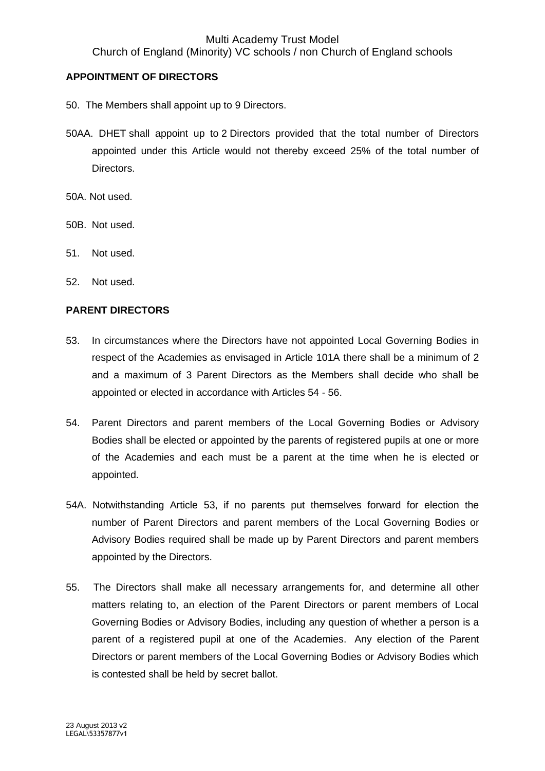Church of England (Minority) VC schools / non Church of England schools

## **APPOINTMENT OF DIRECTORS**

- 50. The Members shall appoint up to 9 Directors.
- 50AA. DHET shall appoint up to 2 Directors provided that the total number of Directors appointed under this Article would not thereby exceed 25% of the total number of Directors.
- 50A. Not used.
- 50B. Not used.
- 51. Not used.
- 52. Not used.

## **PARENT DIRECTORS**

- 53. In circumstances where the Directors have not appointed Local Governing Bodies in respect of the Academies as envisaged in Article 101A there shall be a minimum of 2 and a maximum of 3 Parent Directors as the Members shall decide who shall be appointed or elected in accordance with Articles 54 - 56.
- 54. Parent Directors and parent members of the Local Governing Bodies or Advisory Bodies shall be elected or appointed by the parents of registered pupils at one or more of the Academies and each must be a parent at the time when he is elected or appointed.
- 54A. Notwithstanding Article 53, if no parents put themselves forward for election the number of Parent Directors and parent members of the Local Governing Bodies or Advisory Bodies required shall be made up by Parent Directors and parent members appointed by the Directors.
- 55. The Directors shall make all necessary arrangements for, and determine all other matters relating to, an election of the Parent Directors or parent members of Local Governing Bodies or Advisory Bodies, including any question of whether a person is a parent of a registered pupil at one of the Academies. Any election of the Parent Directors or parent members of the Local Governing Bodies or Advisory Bodies which is contested shall be held by secret ballot.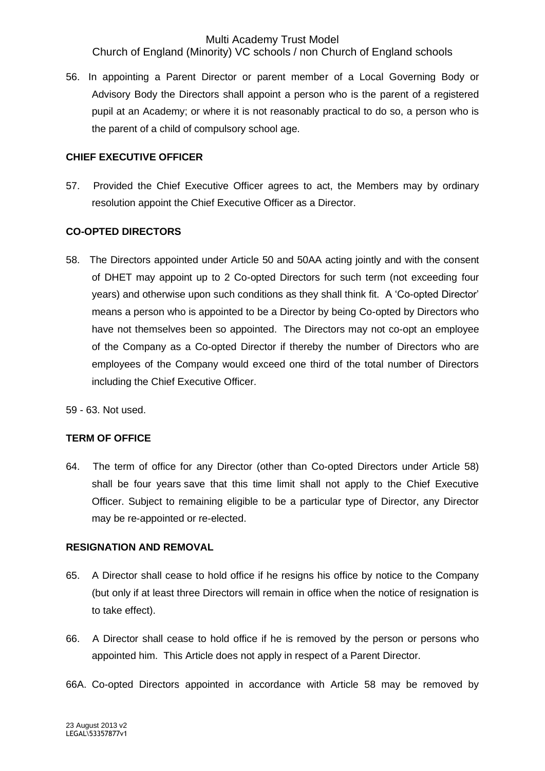Church of England (Minority) VC schools / non Church of England schools

56. In appointing a Parent Director or parent member of a Local Governing Body or Advisory Body the Directors shall appoint a person who is the parent of a registered pupil at an Academy; or where it is not reasonably practical to do so, a person who is the parent of a child of compulsory school age.

## **CHIEF EXECUTIVE OFFICER**

57. Provided the Chief Executive Officer agrees to act, the Members may by ordinary resolution appoint the Chief Executive Officer as a Director.

## **CO-OPTED DIRECTORS**

- 58. The Directors appointed under Article 50 and 50AA acting jointly and with the consent of DHET may appoint up to 2 Co-opted Directors for such term (not exceeding four years) and otherwise upon such conditions as they shall think fit. A 'Co-opted Director' means a person who is appointed to be a Director by being Co-opted by Directors who have not themselves been so appointed. The Directors may not co-opt an employee of the Company as a Co-opted Director if thereby the number of Directors who are employees of the Company would exceed one third of the total number of Directors including the Chief Executive Officer.
- 59 63. Not used.

## **TERM OF OFFICE**

64. The term of office for any Director (other than Co-opted Directors under Article 58) shall be four years save that this time limit shall not apply to the Chief Executive Officer. Subject to remaining eligible to be a particular type of Director, any Director may be re-appointed or re-elected.

#### **RESIGNATION AND REMOVAL**

- 65. A Director shall cease to hold office if he resigns his office by notice to the Company (but only if at least three Directors will remain in office when the notice of resignation is to take effect).
- 66. A Director shall cease to hold office if he is removed by the person or persons who appointed him. This Article does not apply in respect of a Parent Director.
- 66A. Co-opted Directors appointed in accordance with Article 58 may be removed by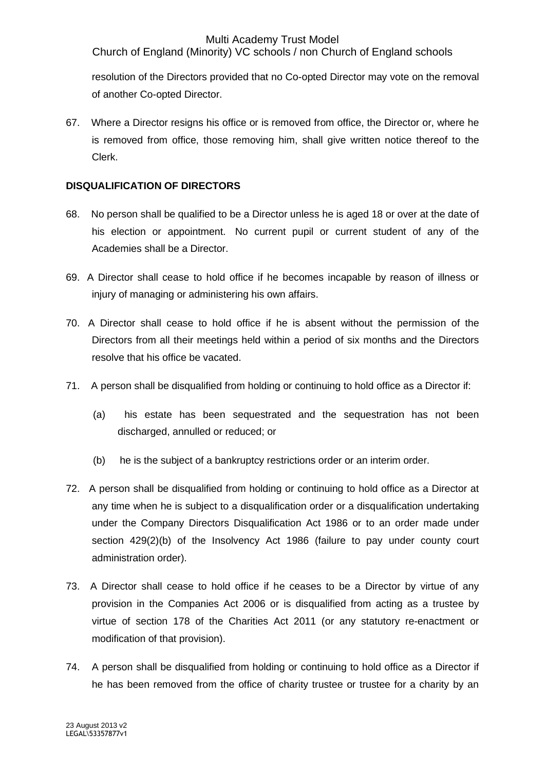Church of England (Minority) VC schools / non Church of England schools

resolution of the Directors provided that no Co-opted Director may vote on the removal of another Co-opted Director.

67. Where a Director resigns his office or is removed from office, the Director or, where he is removed from office, those removing him, shall give written notice thereof to the Clerk.

## **DISQUALIFICATION OF DIRECTORS**

- 68. No person shall be qualified to be a Director unless he is aged 18 or over at the date of his election or appointment. No current pupil or current student of any of the Academies shall be a Director.
- 69. A Director shall cease to hold office if he becomes incapable by reason of illness or injury of managing or administering his own affairs.
- 70. A Director shall cease to hold office if he is absent without the permission of the Directors from all their meetings held within a period of six months and the Directors resolve that his office be vacated.
- 71. A person shall be disqualified from holding or continuing to hold office as a Director if:
	- (a) his estate has been sequestrated and the sequestration has not been discharged, annulled or reduced; or
	- (b) he is the subject of a bankruptcy restrictions order or an interim order.
- 72. A person shall be disqualified from holding or continuing to hold office as a Director at any time when he is subject to a disqualification order or a disqualification undertaking under the Company Directors Disqualification Act 1986 or to an order made under section 429(2)(b) of the Insolvency Act 1986 (failure to pay under county court administration order).
- 73. A Director shall cease to hold office if he ceases to be a Director by virtue of any provision in the Companies Act 2006 or is disqualified from acting as a trustee by virtue of section 178 of the Charities Act 2011 (or any statutory re-enactment or modification of that provision).
- 74. A person shall be disqualified from holding or continuing to hold office as a Director if he has been removed from the office of charity trustee or trustee for a charity by an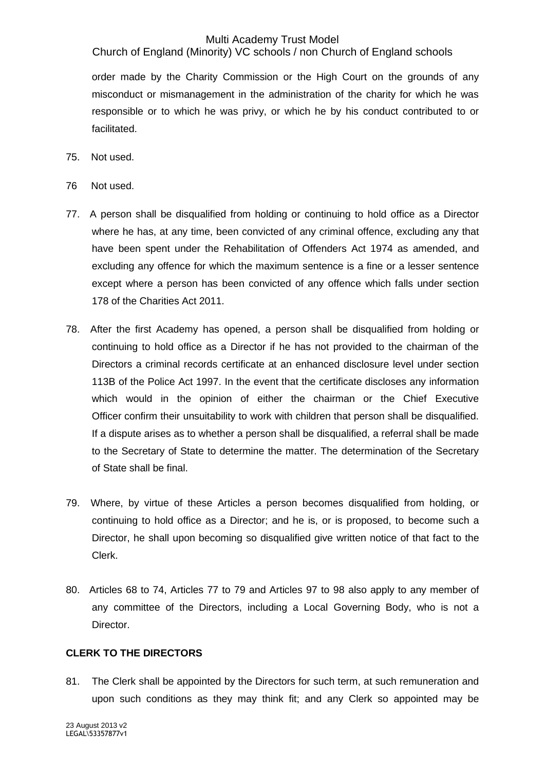Church of England (Minority) VC schools / non Church of England schools

order made by the Charity Commission or the High Court on the grounds of any misconduct or mismanagement in the administration of the charity for which he was responsible or to which he was privy, or which he by his conduct contributed to or facilitated.

- 75. Not used.
- 76 Not used.
- 77. A person shall be disqualified from holding or continuing to hold office as a Director where he has, at any time, been convicted of any criminal offence, excluding any that have been spent under the Rehabilitation of Offenders Act 1974 as amended, and excluding any offence for which the maximum sentence is a fine or a lesser sentence except where a person has been convicted of any offence which falls under section 178 of the Charities Act 2011.
- 78. After the first Academy has opened, a person shall be disqualified from holding or continuing to hold office as a Director if he has not provided to the chairman of the Directors a criminal records certificate at an enhanced disclosure level under section 113B of the Police Act 1997. In the event that the certificate discloses any information which would in the opinion of either the chairman or the Chief Executive Officer confirm their unsuitability to work with children that person shall be disqualified. If a dispute arises as to whether a person shall be disqualified, a referral shall be made to the Secretary of State to determine the matter. The determination of the Secretary of State shall be final.
- 79. Where, by virtue of these Articles a person becomes disqualified from holding, or continuing to hold office as a Director; and he is, or is proposed, to become such a Director, he shall upon becoming so disqualified give written notice of that fact to the Clerk.
- 80. Articles 68 to 74, Articles 77 to 79 and Articles 97 to 98 also apply to any member of any committee of the Directors, including a Local Governing Body, who is not a Director.

## **CLERK TO THE DIRECTORS**

81. The Clerk shall be appointed by the Directors for such term, at such remuneration and upon such conditions as they may think fit; and any Clerk so appointed may be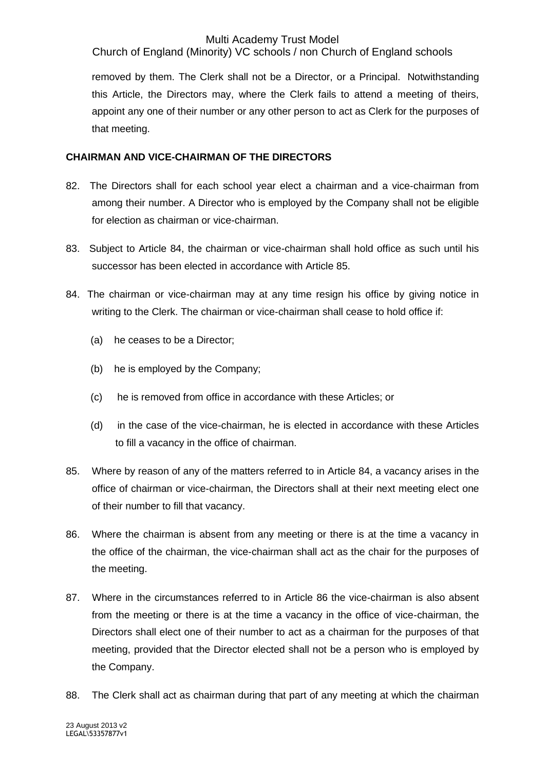Church of England (Minority) VC schools / non Church of England schools

removed by them. The Clerk shall not be a Director, or a Principal. Notwithstanding this Article, the Directors may, where the Clerk fails to attend a meeting of theirs, appoint any one of their number or any other person to act as Clerk for the purposes of that meeting.

## **CHAIRMAN AND VICE-CHAIRMAN OF THE DIRECTORS**

- 82. The Directors shall for each school year elect a chairman and a vice-chairman from among their number. A Director who is employed by the Company shall not be eligible for election as chairman or vice-chairman.
- 83. Subject to Article 84, the chairman or vice-chairman shall hold office as such until his successor has been elected in accordance with Article 85.
- 84. The chairman or vice-chairman may at any time resign his office by giving notice in writing to the Clerk. The chairman or vice-chairman shall cease to hold office if:
	- (a) he ceases to be a Director;
	- (b) he is employed by the Company;
	- (c) he is removed from office in accordance with these Articles; or
	- (d) in the case of the vice-chairman, he is elected in accordance with these Articles to fill a vacancy in the office of chairman.
- 85. Where by reason of any of the matters referred to in Article 84, a vacancy arises in the office of chairman or vice-chairman, the Directors shall at their next meeting elect one of their number to fill that vacancy.
- 86. Where the chairman is absent from any meeting or there is at the time a vacancy in the office of the chairman, the vice-chairman shall act as the chair for the purposes of the meeting.
- 87. Where in the circumstances referred to in Article 86 the vice-chairman is also absent from the meeting or there is at the time a vacancy in the office of vice-chairman, the Directors shall elect one of their number to act as a chairman for the purposes of that meeting, provided that the Director elected shall not be a person who is employed by the Company.
- 88. The Clerk shall act as chairman during that part of any meeting at which the chairman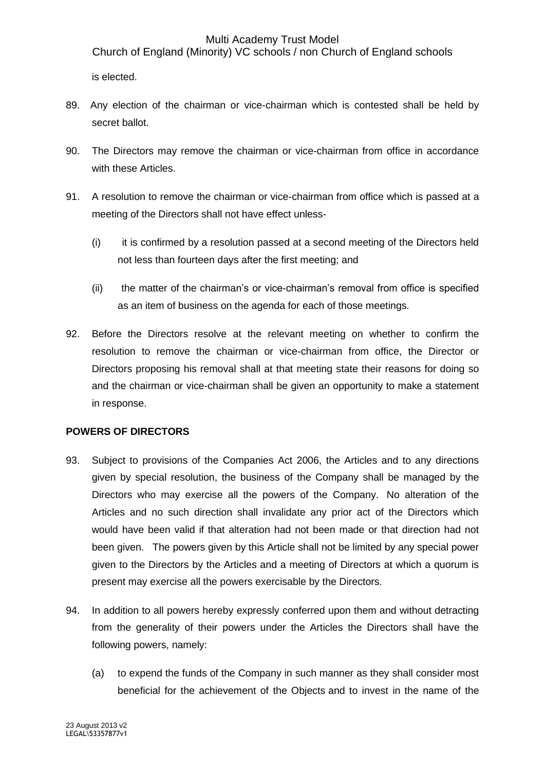Church of England (Minority) VC schools / non Church of England schools

is elected.

- 89. Any election of the chairman or vice-chairman which is contested shall be held by secret ballot.
- 90. The Directors may remove the chairman or vice-chairman from office in accordance with these Articles.
- 91. A resolution to remove the chairman or vice-chairman from office which is passed at a meeting of the Directors shall not have effect unless-
	- (i) it is confirmed by a resolution passed at a second meeting of the Directors held not less than fourteen days after the first meeting; and
	- (ii) the matter of the chairman's or vice-chairman's removal from office is specified as an item of business on the agenda for each of those meetings.
- 92. Before the Directors resolve at the relevant meeting on whether to confirm the resolution to remove the chairman or vice-chairman from office, the Director or Directors proposing his removal shall at that meeting state their reasons for doing so and the chairman or vice-chairman shall be given an opportunity to make a statement in response.

## **POWERS OF DIRECTORS**

- 93. Subject to provisions of the Companies Act 2006, the Articles and to any directions given by special resolution, the business of the Company shall be managed by the Directors who may exercise all the powers of the Company. No alteration of the Articles and no such direction shall invalidate any prior act of the Directors which would have been valid if that alteration had not been made or that direction had not been given. The powers given by this Article shall not be limited by any special power given to the Directors by the Articles and a meeting of Directors at which a quorum is present may exercise all the powers exercisable by the Directors.
- 94. In addition to all powers hereby expressly conferred upon them and without detracting from the generality of their powers under the Articles the Directors shall have the following powers, namely:
	- (a) to expend the funds of the Company in such manner as they shall consider most beneficial for the achievement of the Objects and to invest in the name of the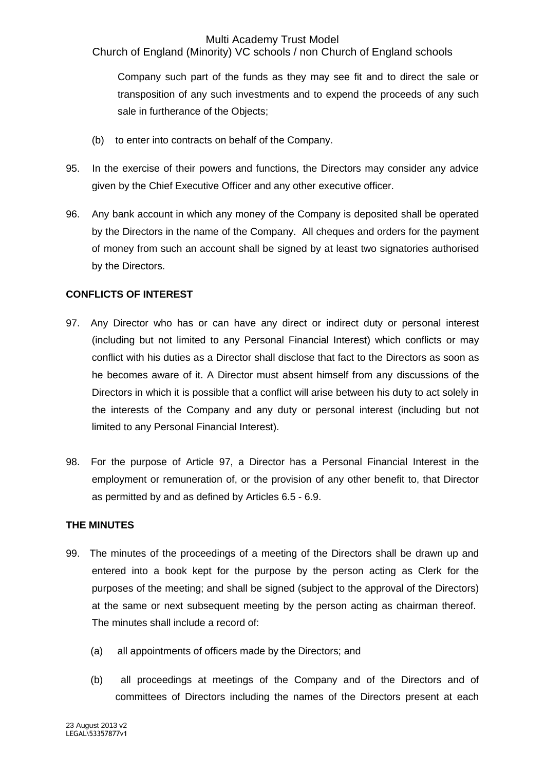Church of England (Minority) VC schools / non Church of England schools

Company such part of the funds as they may see fit and to direct the sale or transposition of any such investments and to expend the proceeds of any such sale in furtherance of the Objects;

- (b) to enter into contracts on behalf of the Company.
- 95. In the exercise of their powers and functions, the Directors may consider any advice given by the Chief Executive Officer and any other executive officer.
- 96. Any bank account in which any money of the Company is deposited shall be operated by the Directors in the name of the Company. All cheques and orders for the payment of money from such an account shall be signed by at least two signatories authorised by the Directors.

## **CONFLICTS OF INTEREST**

- 97. Any Director who has or can have any direct or indirect duty or personal interest (including but not limited to any Personal Financial Interest) which conflicts or may conflict with his duties as a Director shall disclose that fact to the Directors as soon as he becomes aware of it. A Director must absent himself from any discussions of the Directors in which it is possible that a conflict will arise between his duty to act solely in the interests of the Company and any duty or personal interest (including but not limited to any Personal Financial Interest).
- 98. For the purpose of Article 97, a Director has a Personal Financial Interest in the employment or remuneration of, or the provision of any other benefit to, that Director as permitted by and as defined by Articles 6.5 - 6.9.

## **THE MINUTES**

- 99. The minutes of the proceedings of a meeting of the Directors shall be drawn up and entered into a book kept for the purpose by the person acting as Clerk for the purposes of the meeting; and shall be signed (subject to the approval of the Directors) at the same or next subsequent meeting by the person acting as chairman thereof. The minutes shall include a record of:
	- (a) all appointments of officers made by the Directors; and
	- (b) all proceedings at meetings of the Company and of the Directors and of committees of Directors including the names of the Directors present at each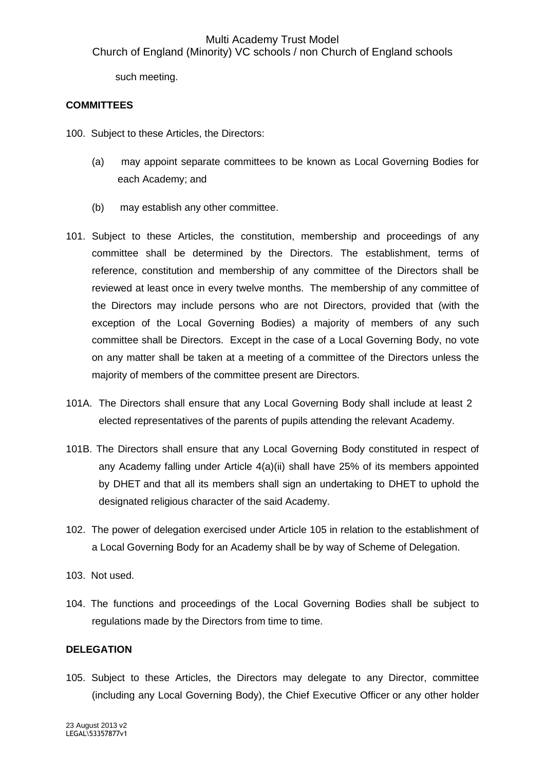such meeting.

## **COMMITTEES**

- 100. Subject to these Articles, the Directors:
	- (a) may appoint separate committees to be known as Local Governing Bodies for each Academy; and
	- (b) may establish any other committee.
- 101. Subject to these Articles, the constitution, membership and proceedings of any committee shall be determined by the Directors. The establishment, terms of reference, constitution and membership of any committee of the Directors shall be reviewed at least once in every twelve months. The membership of any committee of the Directors may include persons who are not Directors, provided that (with the exception of the Local Governing Bodies) a majority of members of any such committee shall be Directors. Except in the case of a Local Governing Body, no vote on any matter shall be taken at a meeting of a committee of the Directors unless the majority of members of the committee present are Directors.
- 101A. The Directors shall ensure that any Local Governing Body shall include at least 2 elected representatives of the parents of pupils attending the relevant Academy.
- 101B. The Directors shall ensure that any Local Governing Body constituted in respect of any Academy falling under Article 4(a)(ii) shall have 25% of its members appointed by DHET and that all its members shall sign an undertaking to DHET to uphold the designated religious character of the said Academy.
- 102. The power of delegation exercised under Article 105 in relation to the establishment of a Local Governing Body for an Academy shall be by way of Scheme of Delegation.
- 103. Not used.
- 104. The functions and proceedings of the Local Governing Bodies shall be subject to regulations made by the Directors from time to time.

## **DELEGATION**

105. Subject to these Articles, the Directors may delegate to any Director, committee (including any Local Governing Body), the Chief Executive Officer or any other holder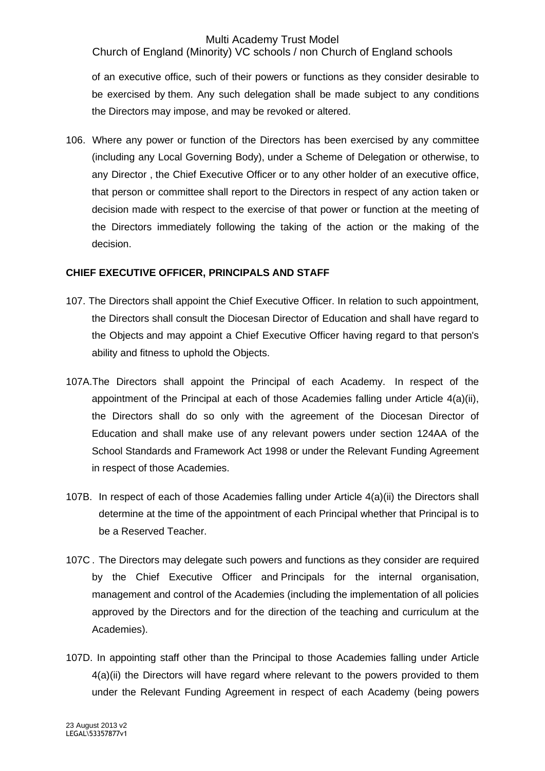Church of England (Minority) VC schools / non Church of England schools

of an executive office, such of their powers or functions as they consider desirable to be exercised by them. Any such delegation shall be made subject to any conditions the Directors may impose, and may be revoked or altered.

106. Where any power or function of the Directors has been exercised by any committee (including any Local Governing Body), under a Scheme of Delegation or otherwise, to any Director , the Chief Executive Officer or to any other holder of an executive office, that person or committee shall report to the Directors in respect of any action taken or decision made with respect to the exercise of that power or function at the meeting of the Directors immediately following the taking of the action or the making of the decision.

## **CHIEF EXECUTIVE OFFICER, PRINCIPALS AND STAFF**

- 107. The Directors shall appoint the Chief Executive Officer. In relation to such appointment, the Directors shall consult the Diocesan Director of Education and shall have regard to the Objects and may appoint a Chief Executive Officer having regard to that person's ability and fitness to uphold the Objects.
- 107A.The Directors shall appoint the Principal of each Academy. In respect of the appointment of the Principal at each of those Academies falling under Article 4(a)(ii), the Directors shall do so only with the agreement of the Diocesan Director of Education and shall make use of any relevant powers under section 124AA of the School Standards and Framework Act 1998 or under the Relevant Funding Agreement in respect of those Academies.
- 107B. In respect of each of those Academies falling under Article 4(a)(ii) the Directors shall determine at the time of the appointment of each Principal whether that Principal is to be a Reserved Teacher.
- 107C . The Directors may delegate such powers and functions as they consider are required by the Chief Executive Officer and Principals for the internal organisation, management and control of the Academies (including the implementation of all policies approved by the Directors and for the direction of the teaching and curriculum at the Academies).
- 107D. In appointing staff other than the Principal to those Academies falling under Article 4(a)(ii) the Directors will have regard where relevant to the powers provided to them under the Relevant Funding Agreement in respect of each Academy (being powers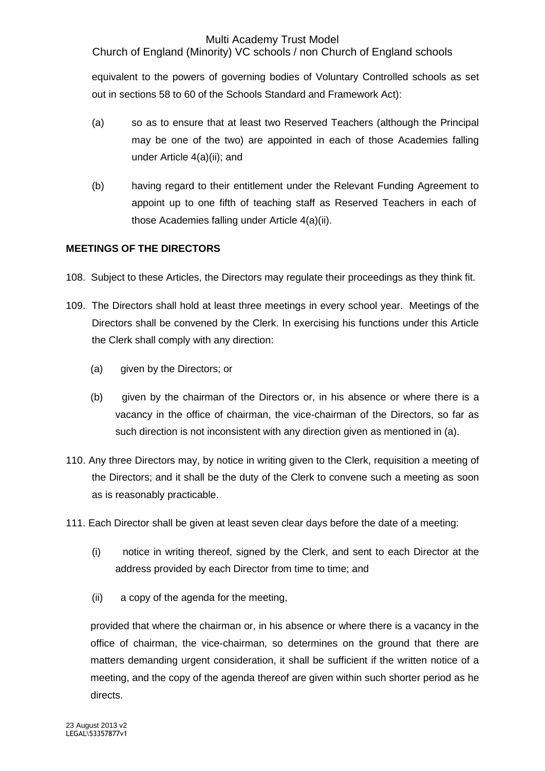Church of England (Minority) VC schools / non Church of England schools

equivalent to the powers of governing bodies of Voluntary Controlled schools as set out in sections 58 to 60 of the Schools Standard and Framework Act):

- (a) so as to ensure that at least two Reserved Teachers (although the Principal may be one of the two) are appointed in each of those Academies falling under Article 4(a)(ii); and
- (b) having regard to their entitlement under the Relevant Funding Agreement to appoint up to one fifth of teaching staff as Reserved Teachers in each of those Academies falling under Article 4(a)(ii).

## **MEETINGS OF THE DIRECTORS**

- 108. Subject to these Articles, the Directors may regulate their proceedings as they think fit.
- 109. The Directors shall hold at least three meetings in every school year. Meetings of the Directors shall be convened by the Clerk. In exercising his functions under this Article the Clerk shall comply with any direction:
	- (a) given by the Directors; or
	- (b) given by the chairman of the Directors or, in his absence or where there is a vacancy in the office of chairman, the vice-chairman of the Directors, so far as such direction is not inconsistent with any direction given as mentioned in (a).
- 110. Any three Directors may, by notice in writing given to the Clerk, requisition a meeting of the Directors; and it shall be the duty of the Clerk to convene such a meeting as soon as is reasonably practicable.
- 111. Each Director shall be given at least seven clear days before the date of a meeting:
	- (i) notice in writing thereof, signed by the Clerk, and sent to each Director at the address provided by each Director from time to time; and
	- (ii) a copy of the agenda for the meeting,

provided that where the chairman or, in his absence or where there is a vacancy in the office of chairman, the vice-chairman, so determines on the ground that there are matters demanding urgent consideration, it shall be sufficient if the written notice of a meeting, and the copy of the agenda thereof are given within such shorter period as he directs.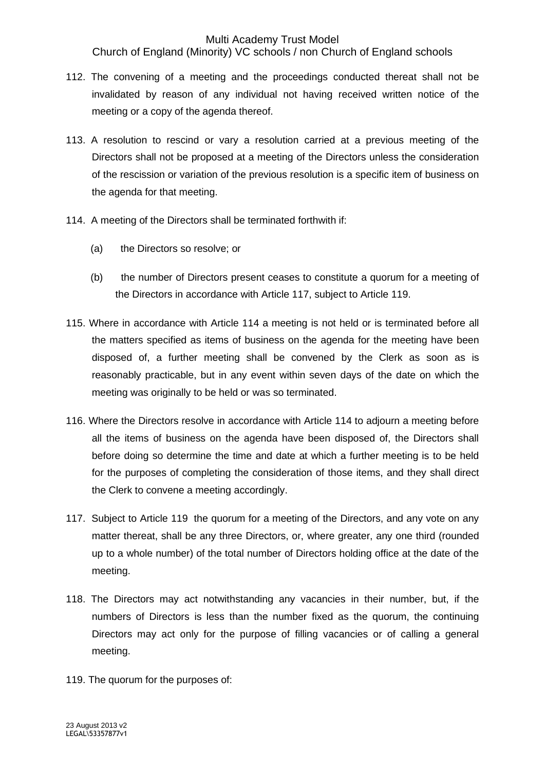Church of England (Minority) VC schools / non Church of England schools

- 112. The convening of a meeting and the proceedings conducted thereat shall not be invalidated by reason of any individual not having received written notice of the meeting or a copy of the agenda thereof.
- 113. A resolution to rescind or vary a resolution carried at a previous meeting of the Directors shall not be proposed at a meeting of the Directors unless the consideration of the rescission or variation of the previous resolution is a specific item of business on the agenda for that meeting.
- 114. A meeting of the Directors shall be terminated forthwith if:
	- (a) the Directors so resolve; or
	- (b) the number of Directors present ceases to constitute a quorum for a meeting of the Directors in accordance with Article 117, subject to Article 119.
- 115. Where in accordance with Article 114 a meeting is not held or is terminated before all the matters specified as items of business on the agenda for the meeting have been disposed of, a further meeting shall be convened by the Clerk as soon as is reasonably practicable, but in any event within seven days of the date on which the meeting was originally to be held or was so terminated.
- 116. Where the Directors resolve in accordance with Article 114 to adjourn a meeting before all the items of business on the agenda have been disposed of, the Directors shall before doing so determine the time and date at which a further meeting is to be held for the purposes of completing the consideration of those items, and they shall direct the Clerk to convene a meeting accordingly.
- 117. Subject to Article 119 the quorum for a meeting of the Directors, and any vote on any matter thereat, shall be any three Directors, or, where greater, any one third (rounded up to a whole number) of the total number of Directors holding office at the date of the meeting.
- 118. The Directors may act notwithstanding any vacancies in their number, but, if the numbers of Directors is less than the number fixed as the quorum, the continuing Directors may act only for the purpose of filling vacancies or of calling a general meeting.
- 119. The quorum for the purposes of: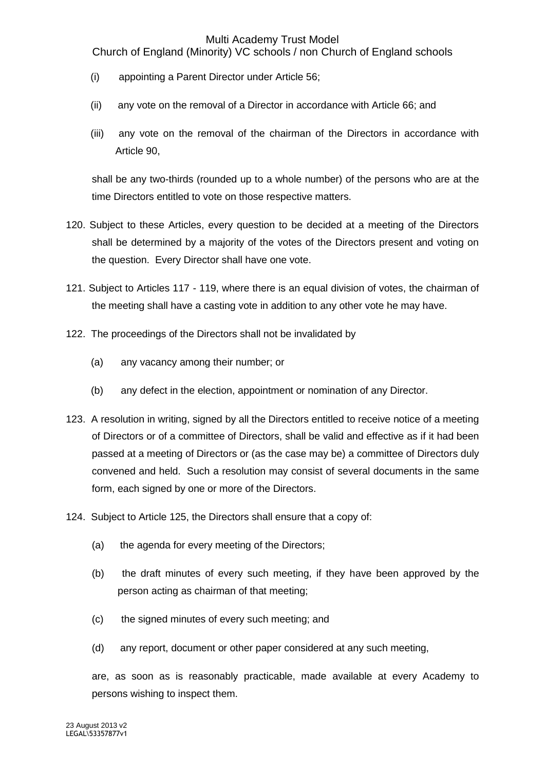Church of England (Minority) VC schools / non Church of England schools

- (i) appointing a Parent Director under Article 56;
- (ii) any vote on the removal of a Director in accordance with Article 66; and
- (iii) any vote on the removal of the chairman of the Directors in accordance with Article 90,

shall be any two-thirds (rounded up to a whole number) of the persons who are at the time Directors entitled to vote on those respective matters.

- 120. Subject to these Articles, every question to be decided at a meeting of the Directors shall be determined by a majority of the votes of the Directors present and voting on the question. Every Director shall have one vote.
- 121. Subject to Articles 117 119, where there is an equal division of votes, the chairman of the meeting shall have a casting vote in addition to any other vote he may have.
- 122. The proceedings of the Directors shall not be invalidated by
	- (a) any vacancy among their number; or
	- (b) any defect in the election, appointment or nomination of any Director.
- 123. A resolution in writing, signed by all the Directors entitled to receive notice of a meeting of Directors or of a committee of Directors, shall be valid and effective as if it had been passed at a meeting of Directors or (as the case may be) a committee of Directors duly convened and held. Such a resolution may consist of several documents in the same form, each signed by one or more of the Directors.
- 124. Subject to Article 125, the Directors shall ensure that a copy of:
	- (a) the agenda for every meeting of the Directors;
	- (b) the draft minutes of every such meeting, if they have been approved by the person acting as chairman of that meeting;
	- (c) the signed minutes of every such meeting; and
	- (d) any report, document or other paper considered at any such meeting,

are, as soon as is reasonably practicable, made available at every Academy to persons wishing to inspect them.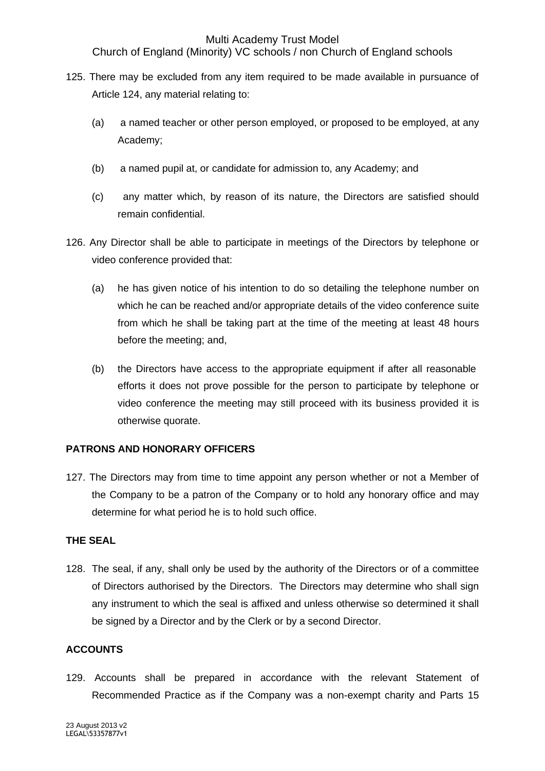Church of England (Minority) VC schools / non Church of England schools

- 125. There may be excluded from any item required to be made available in pursuance of Article 124, any material relating to:
	- (a) a named teacher or other person employed, or proposed to be employed, at any Academy;
	- (b) a named pupil at, or candidate for admission to, any Academy; and
	- (c) any matter which, by reason of its nature, the Directors are satisfied should remain confidential.
- 126. Any Director shall be able to participate in meetings of the Directors by telephone or video conference provided that:
	- (a) he has given notice of his intention to do so detailing the telephone number on which he can be reached and/or appropriate details of the video conference suite from which he shall be taking part at the time of the meeting at least 48 hours before the meeting; and,
	- (b) the Directors have access to the appropriate equipment if after all reasonable efforts it does not prove possible for the person to participate by telephone or video conference the meeting may still proceed with its business provided it is otherwise quorate.

## **PATRONS AND HONORARY OFFICERS**

127. The Directors may from time to time appoint any person whether or not a Member of the Company to be a patron of the Company or to hold any honorary office and may determine for what period he is to hold such office.

## **THE SEAL**

128. The seal, if any, shall only be used by the authority of the Directors or of a committee of Directors authorised by the Directors. The Directors may determine who shall sign any instrument to which the seal is affixed and unless otherwise so determined it shall be signed by a Director and by the Clerk or by a second Director.

## **ACCOUNTS**

129. Accounts shall be prepared in accordance with the relevant Statement of Recommended Practice as if the Company was a non-exempt charity and Parts 15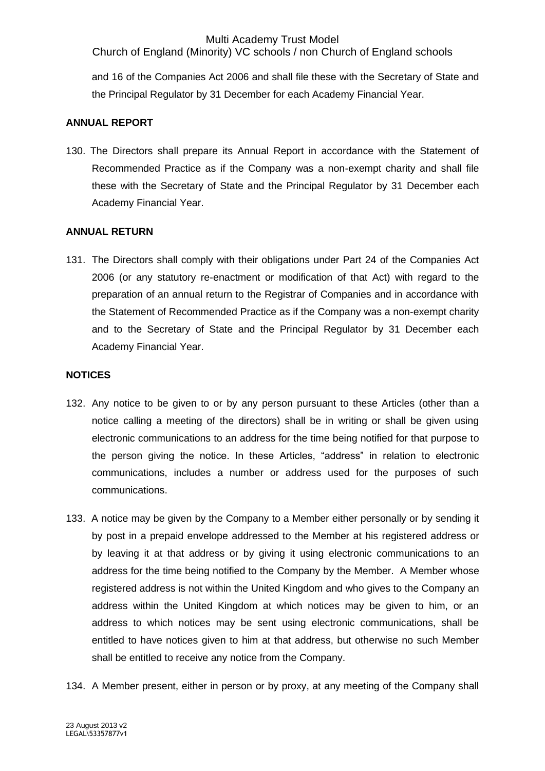Church of England (Minority) VC schools / non Church of England schools

and 16 of the Companies Act 2006 and shall file these with the Secretary of State and the Principal Regulator by 31 December for each Academy Financial Year.

## **ANNUAL REPORT**

130. The Directors shall prepare its Annual Report in accordance with the Statement of Recommended Practice as if the Company was a non-exempt charity and shall file these with the Secretary of State and the Principal Regulator by 31 December each Academy Financial Year.

## **ANNUAL RETURN**

131. The Directors shall comply with their obligations under Part 24 of the Companies Act 2006 (or any statutory re-enactment or modification of that Act) with regard to the preparation of an annual return to the Registrar of Companies and in accordance with the Statement of Recommended Practice as if the Company was a non-exempt charity and to the Secretary of State and the Principal Regulator by 31 December each Academy Financial Year.

## **NOTICES**

- 132. Any notice to be given to or by any person pursuant to these Articles (other than a notice calling a meeting of the directors) shall be in writing or shall be given using electronic communications to an address for the time being notified for that purpose to the person giving the notice. In these Articles, "address" in relation to electronic communications, includes a number or address used for the purposes of such communications.
- 133. A notice may be given by the Company to a Member either personally or by sending it by post in a prepaid envelope addressed to the Member at his registered address or by leaving it at that address or by giving it using electronic communications to an address for the time being notified to the Company by the Member. A Member whose registered address is not within the United Kingdom and who gives to the Company an address within the United Kingdom at which notices may be given to him, or an address to which notices may be sent using electronic communications, shall be entitled to have notices given to him at that address, but otherwise no such Member shall be entitled to receive any notice from the Company.
- 134. A Member present, either in person or by proxy, at any meeting of the Company shall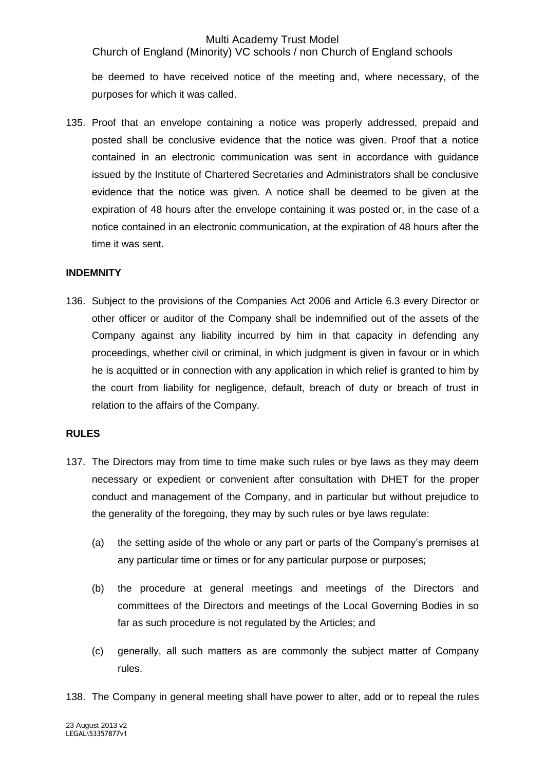Church of England (Minority) VC schools / non Church of England schools

be deemed to have received notice of the meeting and, where necessary, of the purposes for which it was called.

135. Proof that an envelope containing a notice was properly addressed, prepaid and posted shall be conclusive evidence that the notice was given. Proof that a notice contained in an electronic communication was sent in accordance with guidance issued by the Institute of Chartered Secretaries and Administrators shall be conclusive evidence that the notice was given. A notice shall be deemed to be given at the expiration of 48 hours after the envelope containing it was posted or, in the case of a notice contained in an electronic communication, at the expiration of 48 hours after the time it was sent.

#### **INDEMNITY**

136. Subject to the provisions of the Companies Act 2006 and Article 6.3 every Director or other officer or auditor of the Company shall be indemnified out of the assets of the Company against any liability incurred by him in that capacity in defending any proceedings, whether civil or criminal, in which judgment is given in favour or in which he is acquitted or in connection with any application in which relief is granted to him by the court from liability for negligence, default, breach of duty or breach of trust in relation to the affairs of the Company.

#### **RULES**

- 137. The Directors may from time to time make such rules or bye laws as they may deem necessary or expedient or convenient after consultation with DHET for the proper conduct and management of the Company, and in particular but without prejudice to the generality of the foregoing, they may by such rules or bye laws regulate:
	- (a) the setting aside of the whole or any part or parts of the Company's premises at any particular time or times or for any particular purpose or purposes;
	- (b) the procedure at general meetings and meetings of the Directors and committees of the Directors and meetings of the Local Governing Bodies in so far as such procedure is not regulated by the Articles; and
	- (c) generally, all such matters as are commonly the subject matter of Company rules.
- 138. The Company in general meeting shall have power to alter, add or to repeal the rules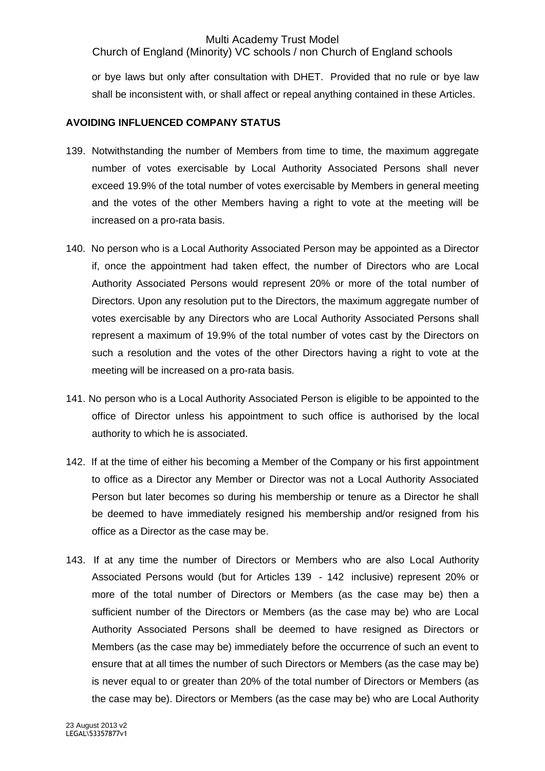Church of England (Minority) VC schools / non Church of England schools

or bye laws but only after consultation with DHET. Provided that no rule or bye law shall be inconsistent with, or shall affect or repeal anything contained in these Articles.

#### **AVOIDING INFLUENCED COMPANY STATUS**

- 139. Notwithstanding the number of Members from time to time, the maximum aggregate number of votes exercisable by Local Authority Associated Persons shall never exceed 19.9% of the total number of votes exercisable by Members in general meeting and the votes of the other Members having a right to vote at the meeting will be increased on a pro-rata basis.
- 140. No person who is a Local Authority Associated Person may be appointed as a Director if, once the appointment had taken effect, the number of Directors who are Local Authority Associated Persons would represent 20% or more of the total number of Directors. Upon any resolution put to the Directors, the maximum aggregate number of votes exercisable by any Directors who are Local Authority Associated Persons shall represent a maximum of 19.9% of the total number of votes cast by the Directors on such a resolution and the votes of the other Directors having a right to vote at the meeting will be increased on a pro-rata basis.
- 141. No person who is a Local Authority Associated Person is eligible to be appointed to the office of Director unless his appointment to such office is authorised by the local authority to which he is associated.
- 142. If at the time of either his becoming a Member of the Company or his first appointment to office as a Director any Member or Director was not a Local Authority Associated Person but later becomes so during his membership or tenure as a Director he shall be deemed to have immediately resigned his membership and/or resigned from his office as a Director as the case may be.
- 143. If at any time the number of Directors or Members who are also Local Authority Associated Persons would (but for Articles 139 - 142 inclusive) represent 20% or more of the total number of Directors or Members (as the case may be) then a sufficient number of the Directors or Members (as the case may be) who are Local Authority Associated Persons shall be deemed to have resigned as Directors or Members (as the case may be) immediately before the occurrence of such an event to ensure that at all times the number of such Directors or Members (as the case may be) is never equal to or greater than 20% of the total number of Directors or Members (as the case may be). Directors or Members (as the case may be) who are Local Authority